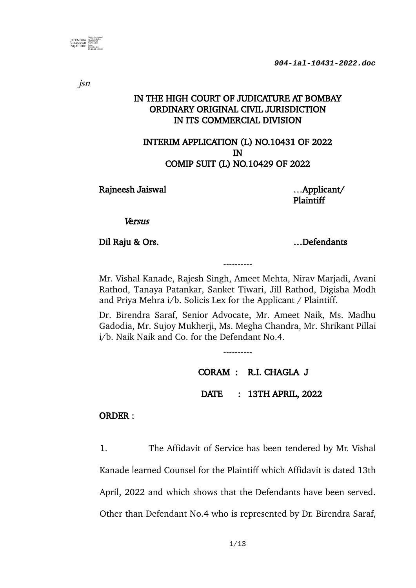

jsn

# IN THE HIGH COURT OF JUDICATURE AT BOMBAY ORDINARY ORIGINAL CIVIL JURISDICTION IN ITS COMMERCIAL DIVISION

## INTERIM APPLICATION (L) NO.10431 OF 2022 IN COMIP SUIT (L) NO.10429 OF 2022

Rajneesh Jaiswal ….. Applicant/

Plaintiff

**Versus** 

Dil Raju & Ors. <br>
1. Defendants

Mr. Vishal Kanade, Rajesh Singh, Ameet Mehta, Nirav Marjadi, Avani Rathod, Tanaya Patankar, Sanket Tiwari, Jill Rathod, Digisha Modh and Priya Mehra i/b. Solicis Lex for the Applicant / Plaintiff.

----------

Dr. Birendra Saraf, Senior Advocate, Mr. Ameet Naik, Ms. Madhu Gadodia, Mr. Sujoy Mukherji, Ms. Megha Chandra, Mr. Shrikant Pillai i/b. Naik Naik and Co. for the Defendant No.4.

----------

CORAM : R.I. CHAGLA J DATE : 13TH APRIL, 2022

ORDER :

1. The Affidavit of Service has been tendered by Mr. Vishal Kanade learned Counsel for the Plaintiff which Affidavit is dated 13th April, 2022 and which shows that the Defendants have been served. Other than Defendant No.4 who is represented by Dr. Birendra Saraf,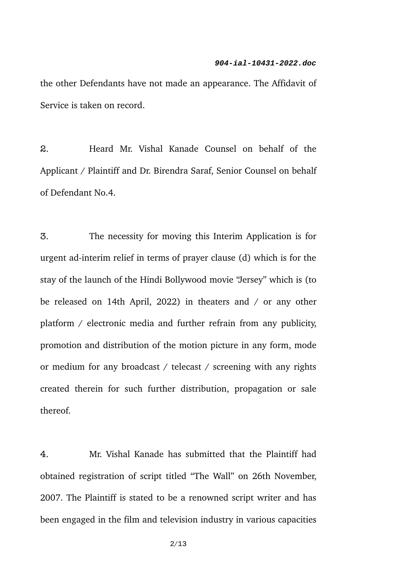the other Defendants have not made an appearance. The Affidavit of Service is taken on record.

2. Heard Mr. Vishal Kanade Counsel on behalf of the Applicant / Plaintiff and Dr. Birendra Saraf, Senior Counsel on behalf of Defendant No.4.

3. The necessity for moving this Interim Application is for urgent ad-interim relief in terms of prayer clause (d) which is for the stay of the launch of the Hindi Bollywood movie "Jersey" which is (to be released on 14th April, 2022) in theaters and / or any other platform / electronic media and further refrain from any publicity, promotion and distribution of the motion picture in any form, mode or medium for any broadcast / telecast / screening with any rights created therein for such further distribution, propagation or sale thereof.

4. Mr. Vishal Kanade has submitted that the Plaintiff had obtained registration of script titled "The Wall" on 26th November, 2007. The Plaintiff is stated to be a renowned script writer and has been engaged in the film and television industry in various capacities

2/13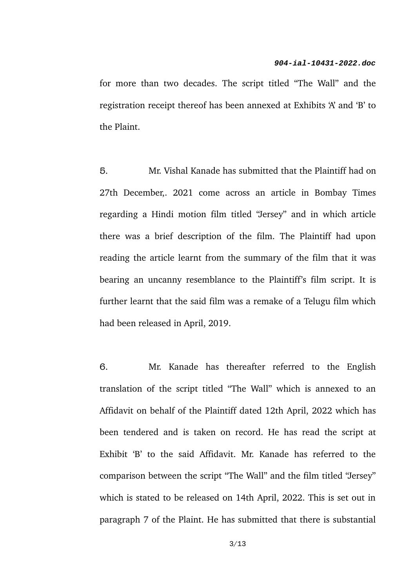for more than two decades. The script titled "The Wall" and the registration receipt thereof has been annexed at Exhibits 'A' and 'B' to the Plaint.

5. Mr. Vishal Kanade has submitted that the Plaintiff had on 27th December,. 2021 come across an article in Bombay Times regarding a Hindi motion film titled "Jersey" and in which article there was a brief description of the film. The Plaintiff had upon reading the article learnt from the summary of the film that it was bearing an uncanny resemblance to the Plaintiff's film script. It is further learnt that the said film was a remake of a Telugu film which had been released in April, 2019.

6. Mr. Kanade has thereafter referred to the English translation of the script titled "The Wall" which is annexed to an Affidavit on behalf of the Plaintiff dated 12th April, 2022 which has been tendered and is taken on record. He has read the script at Exhibit 'B' to the said Affidavit. Mr. Kanade has referred to the comparison between the script "The Wall" and the film titled "Jersey" which is stated to be released on 14th April, 2022. This is set out in paragraph 7 of the Plaint. He has submitted that there is substantial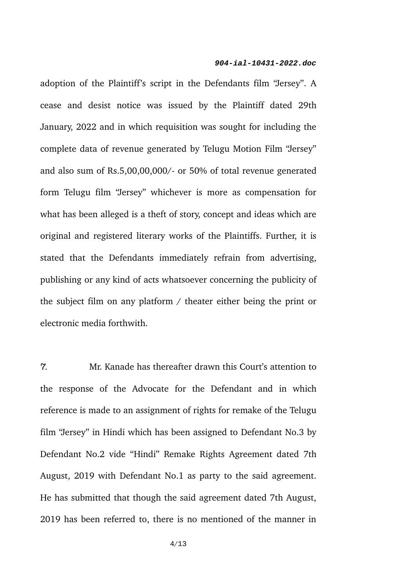adoption of the Plaintiff's script in the Defendants film "Jersey". A cease and desist notice was issued by the Plaintiff dated 29th January, 2022 and in which requisition was sought for including the complete data of revenue generated by Telugu Motion Film "Jersey" and also sum of Rs.5,00,00,000/- or 50% of total revenue generated form Telugu film "Jersey" whichever is more as compensation for what has been alleged is a theft of story, concept and ideas which are original and registered literary works of the Plaintiffs. Further, it is stated that the Defendants immediately refrain from advertising, publishing or any kind of acts whatsoever concerning the publicity of the subject film on any platform / theater either being the print or electronic media forthwith.

7. Mr. Kanade has thereafter drawn this Court's attention to the response of the Advocate for the Defendant and in which reference is made to an assignment of rights for remake of the Telugu film "Jersey" in Hindi which has been assigned to Defendant No.3 by Defendant No.2 vide "Hindi" Remake Rights Agreement dated 7th August, 2019 with Defendant No.1 as party to the said agreement. He has submitted that though the said agreement dated 7th August, 2019 has been referred to, there is no mentioned of the manner in

4/13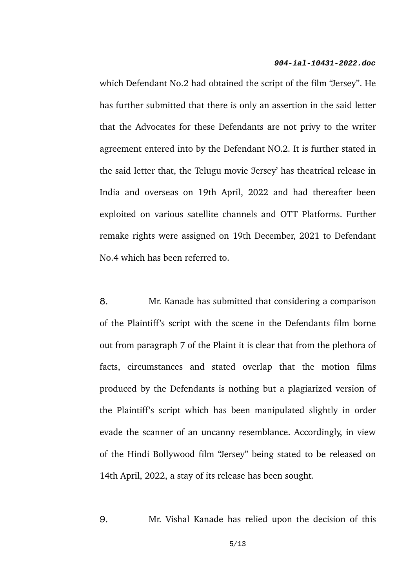which Defendant No.2 had obtained the script of the film "Jersey". He has further submitted that there is only an assertion in the said letter that the Advocates for these Defendants are not privy to the writer agreement entered into by the Defendant NO.2. It is further stated in the said letter that, the Telugu movie 'Jersey' has theatrical release in India and overseas on 19th April, 2022 and had thereafter been exploited on various satellite channels and OTT Platforms. Further remake rights were assigned on 19th December, 2021 to Defendant No.4 which has been referred to.

8. Mr. Kanade has submitted that considering a comparison of the Plaintiff's script with the scene in the Defendants film borne out from paragraph 7 of the Plaint it is clear that from the plethora of facts, circumstances and stated overlap that the motion films produced by the Defendants is nothing but a plagiarized version of the Plaintiff's script which has been manipulated slightly in order evade the scanner of an uncanny resemblance. Accordingly, in view of the Hindi Bollywood film "Jersey" being stated to be released on 14th April, 2022, a stay of its release has been sought.

9. Mr. Vishal Kanade has relied upon the decision of this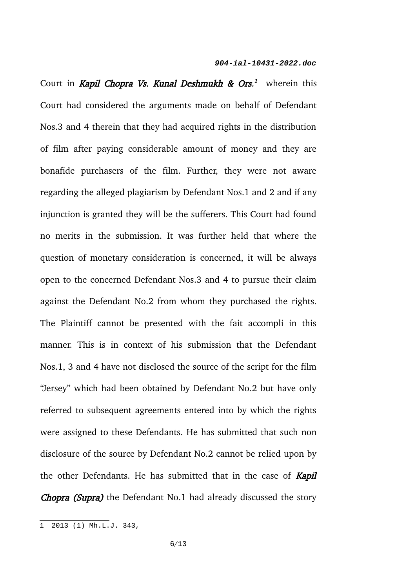Court in *Kapil Chopra Vs. Kunal Deshmukh & Ors.<sup>[1](#page-5-0)</sup> wherein this* Court had considered the arguments made on behalf of Defendant Nos.3 and 4 therein that they had acquired rights in the distribution of film after paying considerable amount of money and they are bonafide purchasers of the film. Further, they were not aware regarding the alleged plagiarism by Defendant Nos.1 and 2 and if any injunction is granted they will be the sufferers. This Court had found no merits in the submission. It was further held that where the question of monetary consideration is concerned, it will be always open to the concerned Defendant Nos.3 and 4 to pursue their claim against the Defendant No.2 from whom they purchased the rights. The Plaintiff cannot be presented with the fait accompli in this manner. This is in context of his submission that the Defendant Nos.1, 3 and 4 have not disclosed the source of the script for the film "Jersey" which had been obtained by Defendant No.2 but have only referred to subsequent agreements entered into by which the rights were assigned to these Defendants. He has submitted that such non disclosure of the source by Defendant No.2 cannot be relied upon by the other Defendants. He has submitted that in the case of **Kapil Chopra (Supra)** the Defendant No.1 had already discussed the story

<span id="page-5-0"></span> $\overline{1}$  2013 (1) Mh.L.J. 343,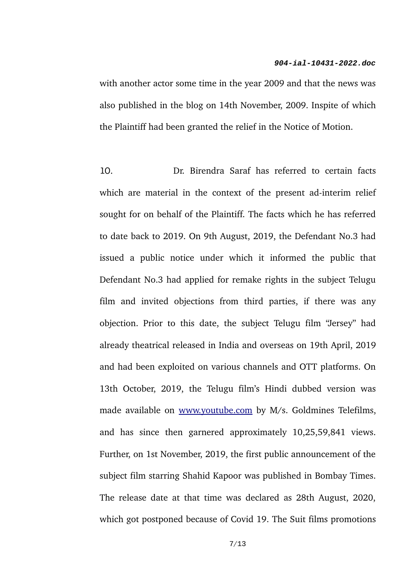with another actor some time in the year 2009 and that the news was also published in the blog on 14th November, 2009. Inspite of which the Plaintiff had been granted the relief in the Notice of Motion.

10. Dr. Birendra Saraf has referred to certain facts which are material in the context of the present ad-interim relief sought for on behalf of the Plaintiff. The facts which he has referred to date back to 2019. On 9th August, 2019, the Defendant No.3 had issued a public notice under which it informed the public that Defendant No.3 had applied for remake rights in the subject Telugu film and invited objections from third parties, if there was any objection. Prior to this date, the subject Telugu film "Jersey" had already theatrical released in India and overseas on 19th April, 2019 and had been exploited on various channels and OTT platforms. On 13th October, 2019, the Telugu film's Hindi dubbed version was made available on [www.youtube.com](http://www.youtube.com/) by M/s. Goldmines Telefilms, and has since then garnered approximately 10,25,59,841 views. Further, on 1st November, 2019, the first public announcement of the subject film starring Shahid Kapoor was published in Bombay Times. The release date at that time was declared as 28th August, 2020, which got postponed because of Covid 19. The Suit films promotions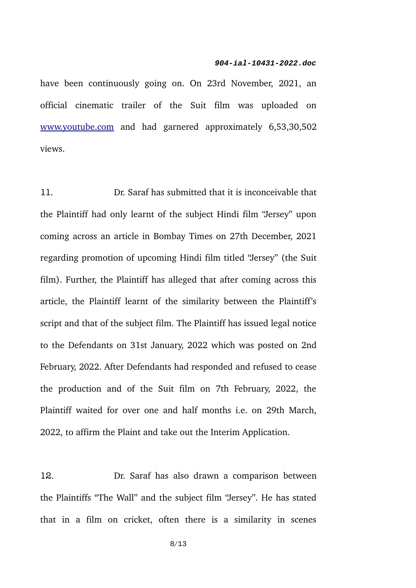have been continuously going on. On 23rd November, 2021, an official cinematic trailer of the Suit film was uploaded on [www.youtube.com](http://www.youtube.com/) and had garnered approximately 6,53,30,502 views.

11. Dr. Saraf has submitted that it is inconceivable that the Plaintiff had only learnt of the subject Hindi film "Jersey" upon coming across an article in Bombay Times on 27th December, 2021 regarding promotion of upcoming Hindi film titled "Jersey" (the Suit film). Further, the Plaintiff has alleged that after coming across this article, the Plaintiff learnt of the similarity between the Plaintiff's script and that of the subject film. The Plaintiff has issued legal notice to the Defendants on 31st January, 2022 which was posted on 2nd February, 2022. After Defendants had responded and refused to cease the production and of the Suit film on 7th February, 2022, the Plaintiff waited for over one and half months i.e. on 29th March, 2022, to affirm the Plaint and take out the Interim Application.

12. Dr. Saraf has also drawn a comparison between the Plaintiffs "The Wall" and the subject film "Jersey". He has stated that in a film on cricket, often there is a similarity in scenes

8/13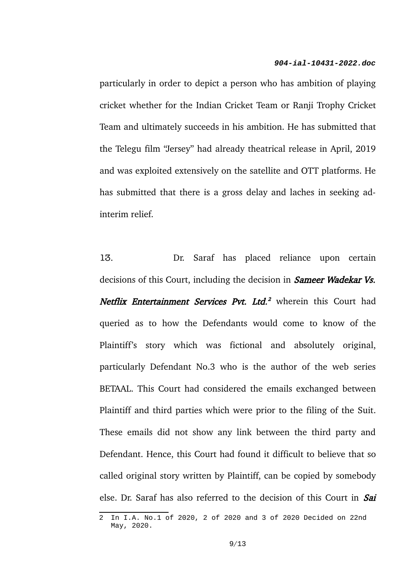particularly in order to depict a person who has ambition of playing cricket whether for the Indian Cricket Team or Ranji Trophy Cricket Team and ultimately succeeds in his ambition. He has submitted that the Telegu film "Jersey" had already theatrical release in April, 2019 and was exploited extensively on the satellite and OTT platforms. He has submitted that there is a gross delay and laches in seeking adinterim relief.

13. Dr. Saraf has placed reliance upon certain decisions of this Court, including the decision in **Sameer Wadekar Vs.** Netflix Entertainment Services Pvt. Ltd.<sup>[2](#page-8-0)</sup> wherein this Court had queried as to how the Defendants would come to know of the Plaintiff's story which was fictional and absolutely original, particularly Defendant No.3 who is the author of the web series BETAAL. This Court had considered the emails exchanged between Plaintiff and third parties which were prior to the filing of the Suit. These emails did not show any link between the third party and Defendant. Hence, this Court had found it difficult to believe that so called original story written by Plaintiff, can be copied by somebody else. Dr. Saraf has also referred to the decision of this Court in Sai

<span id="page-8-0"></span><sup>2</sup> In I.A. No.1 of 2020, 2 of 2020 and 3 of 2020 Decided on 22nd May, 2020.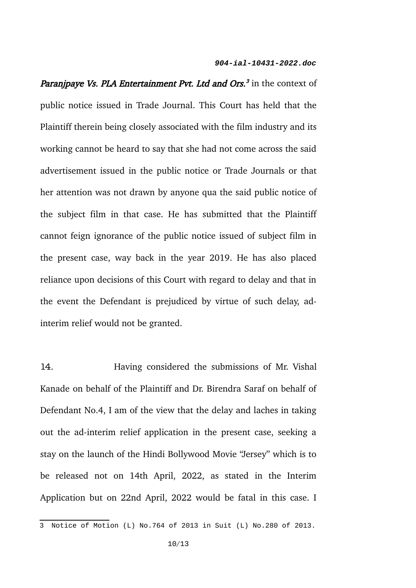*Paranjpaye Vs. PLA Entertainment Pvt. Ltd and Ors.<sup>[3](#page-9-0)</sup>* in the context of public notice issued in Trade Journal. This Court has held that the Plaintiff therein being closely associated with the film industry and its working cannot be heard to say that she had not come across the said advertisement issued in the public notice or Trade Journals or that her attention was not drawn by anyone qua the said public notice of the subject film in that case. He has submitted that the Plaintiff cannot feign ignorance of the public notice issued of subject film in the present case, way back in the year 2019. He has also placed reliance upon decisions of this Court with regard to delay and that in the event the Defendant is prejudiced by virtue of such delay, adinterim relief would not be granted.

14. Having considered the submissions of Mr. Vishal Kanade on behalf of the Plaintiff and Dr. Birendra Saraf on behalf of Defendant No.4, I am of the view that the delay and laches in taking out the ad-interim relief application in the present case, seeking a stay on the launch of the Hindi Bollywood Movie "Jersey" which is to be released not on 14th April, 2022, as stated in the Interim Application but on 22nd April, 2022 would be fatal in this case. I

<span id="page-9-0"></span><sup>3</sup> Notice of Motion (L) No.764 of 2013 in Suit (L) No.280 of 2013.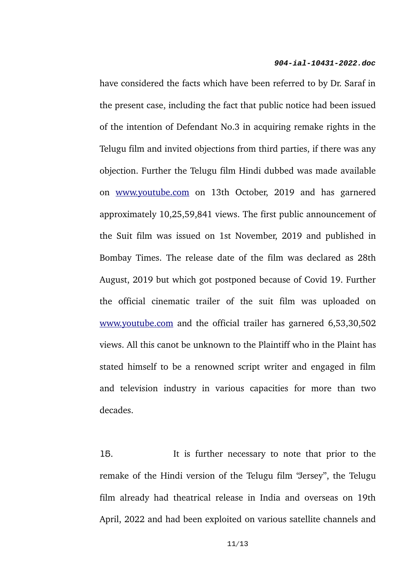have considered the facts which have been referred to by Dr. Saraf in the present case, including the fact that public notice had been issued of the intention of Defendant No.3 in acquiring remake rights in the Telugu film and invited objections from third parties, if there was any objection. Further the Telugu film Hindi dubbed was made available on [www.youtube.com](http://www.youtube.com/) on 13th October, 2019 and has garnered approximately 10,25,59,841 views. The first public announcement of the Suit film was issued on 1st November, 2019 and published in Bombay Times. The release date of the film was declared as 28th August, 2019 but which got postponed because of Covid 19. Further the official cinematic trailer of the suit film was uploaded on [www.youtube.com](http://www.youtube.com/) and the official trailer has garnered 6,53,30,502 views. All this canot be unknown to the Plaintiff who in the Plaint has stated himself to be a renowned script writer and engaged in film and television industry in various capacities for more than two decades.

15. It is further necessary to note that prior to the remake of the Hindi version of the Telugu film "Jersey", the Telugu film already had theatrical release in India and overseas on 19th April, 2022 and had been exploited on various satellite channels and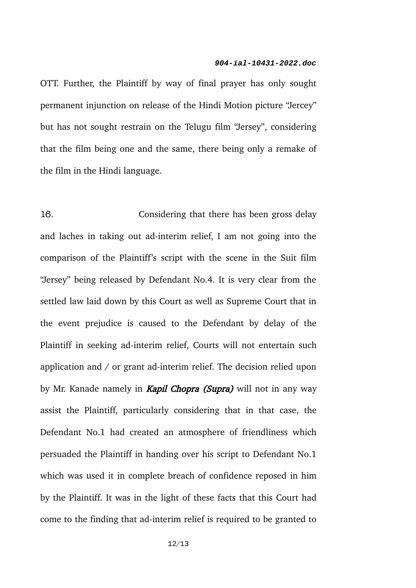OTT. Further, the Plaintiff by way of final prayer has only sought permanent injunction on release of the Hindi Motion picture "Jercey" but has not sought restrain on the Telugu film "Jersey", considering that the film being one and the same, there being only a remake of the film in the Hindi language.

16. Considering that there has been gross delay and laches in taking out ad-interim relief, I am not going into the comparison of the Plaintiff's script with the scene in the Suit film "Jersey" being released by Defendant No.4. It is very clear from the settled law laid down by this Court as well as Supreme Court that in the event prejudice is caused to the Defendant by delay of the Plaintiff in seeking ad-interim relief, Courts will not entertain such application and / or grant ad-interim relief. The decision relied upon by Mr. Kanade namely in **Kapil Chopra (Supra)** will not in any way assist the Plaintiff, particularly considering that in that case, the Defendant No.1 had created an atmosphere of friendliness which persuaded the Plaintiff in handing over his script to Defendant No.1 which was used it in complete breach of confidence reposed in him by the Plaintiff. It was in the light of these facts that this Court had come to the finding that ad-interim relief is required to be granted to